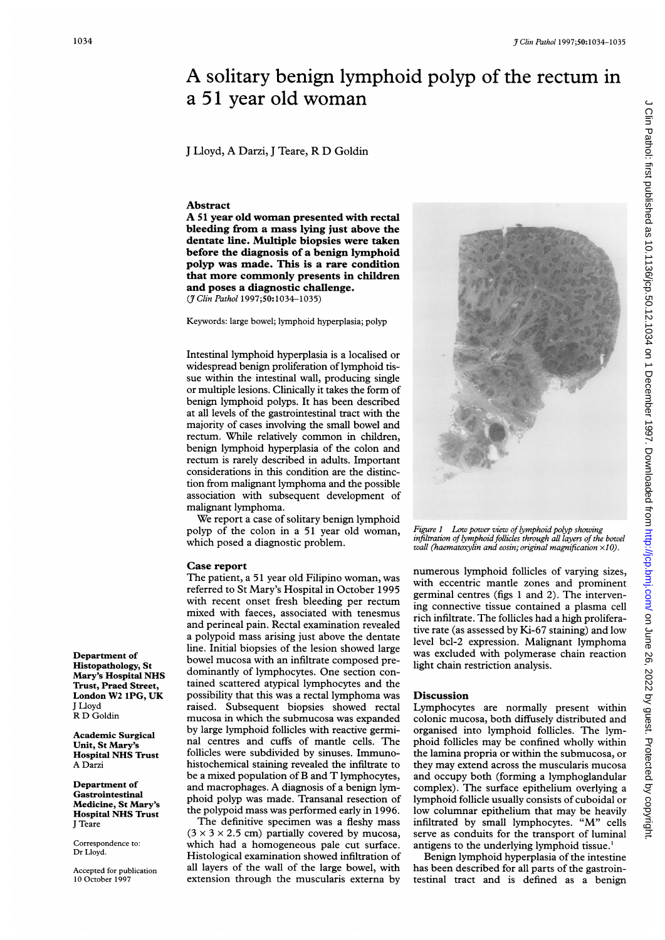## <sup>3 Clin Pathol 1997;50:1034-1035</sup><br>
A solitary benign lymphoid polyp of the rectum in<br>
a 51 year old woman<br>
J Lloyd, A Darzi, J Teare, R D Goldin<br> **Abstract** A solitary benign lymphoid polyp of the rectum in <sup>a</sup> 51 year old woman

<sup>J</sup> Lloyd, A Darzi, <sup>J</sup> Teare, R D Goldin

## **Abstract**

A <sup>51</sup> year old woman presented with rectal bleeding from a mass lying just above the dentate line. Multiple biopsies were taken before the diagnosis of a benign lymphoid polyp was made. This is a rare condition that more commonly presents in children and poses a diagnostic challenge. (7 Clin Pathol 1997;50:1034-1035)

Keywords: large bowel; lymphoid hyperplasia; polyp

Intestinal lymphoid hyperplasia is a localised or widespread benign proliferation of lymphoid tissue within the intestinal wall, producing single or multiple lesions. Clinically it takes the form of benign lymphoid polyps. It has been described at all levels of the gastrointestinal tract with the majority of cases involving the small bowel and rectum. While relatively common in children, benign lymphoid hyperplasia of the colon and rectum is rarely described in adults. Important considerations in this condition are the distinction from malignant lymphoma and the possible association with subsequent development of malignant lymphoma.

We report <sup>a</sup> case of solitary benign lymphoid polyp of the colon in a 51 year old woman, which posed a diagnostic problem.

## Case report

The patient, <sup>a</sup> 51 year old Filipino woman, was referred to St Mary's Hospital in October 1995 with recent onset fresh bleeding per rectum mixed with faeces, associated with tenesmus and perineal pain. Rectal examination revealed a polypoid mass arising just above the dentate line. Initial biopsies of the lesion showed large bowel mucosa with an infiltrate composed predominantly of lymphocytes. One section contained scattered atypical lymphocytes and the possibility that this was a rectal lymphoma was raised. Subsequent biopsies showed rectal mucosa in which the submucosa was expanded by large lymphoid follicles with reactive germinal centres and cuffs of mantle cells. The follicles were subdivided by sinuses. Immunohistochemical staining revealed the infiltrate to be <sup>a</sup> mixed population of B and T lymphocytes, and macrophages. A diagnosis of <sup>a</sup> benign lymphoid polyp was made. Transanal resection of the polypoid mass was performed early in 1996.

The definitive specimen was <sup>a</sup> fleshy mass  $(3 \times 3 \times 2.5$  cm) partially covered by mucosa, which had a homogeneous pale cut surface. Histological examination showed infiltration of all layers of the wall of the large bowel, with extension through the muscularis externa by



Figure <sup>1</sup> Low power view of lymphoid polyp showing infiltration of lymphoid follicles through all layers of the bowel wall (haematoxylin and eosin; original magnification  $\times$ 10).

numerous lymphoid follicles of varying sizes, with eccentric mantle zones and prominent germinal centres (figs <sup>1</sup> and 2). The intervening connective tissue contained a plasma cell rich infiltrate. The follicles had a high proliferative rate (as assessed by Ki-67 staining) and low level bcl-2 expression. Malignant lymphoma was excluded with polymerase chain reaction light chain restriction analysis.

## Discussion

Lymphocytes are normally present within colonic mucosa, both diffusely distributed and organised into lymphoid follicles. The lymphoid follicles may be confined wholly within the lamina propria or within the submucosa, or they may extend across the muscularis mucosa and occupy both (forming a lymphoglandular complex). The surface epithelium overlying a lymphoid follicle usually consists of cuboidal or low columnar epithelium that may be heavily infiltrated by small lymphocytes. "M" cells serve as conduits for the transport of luminal antigens to the underlying lymphoid tissue.'

Benign lymphoid hyperplasia of the intestine has been described for all parts of the gastrointestinal tract and is defined as a benign

Department of Histopathology, St Mary's Hospital NHS Trust, Praed Street, London W2 IPG, UK J Lloyd R D Goldin

Academic Surgical Unit, St Mary Hospital NHS Trust A Darzi

Department of Gastrointestinal Medicine, St Mary's Hospital NHS Trust J Teare

Correspondence to: Dr Lloyd.

Accepted for publication 10 October 1997